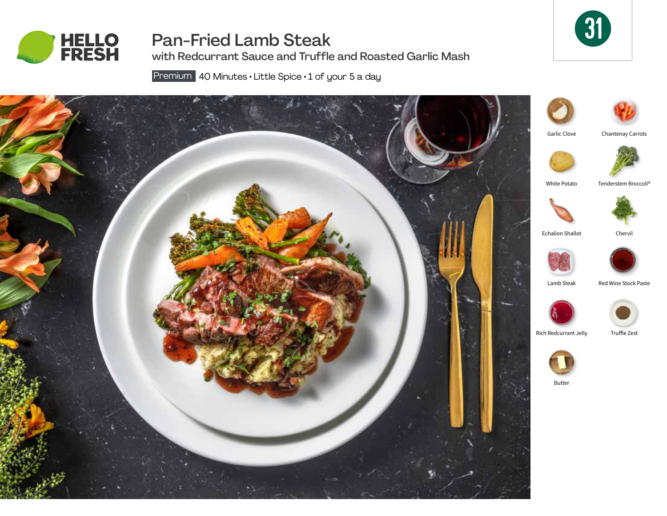

Pan-Fried Lamb Steak with Redcurrant Sauce and Truffle and Roasted Garlic Mash



Premium 40 Minutes · Little Spice · 1 of your 5 a day